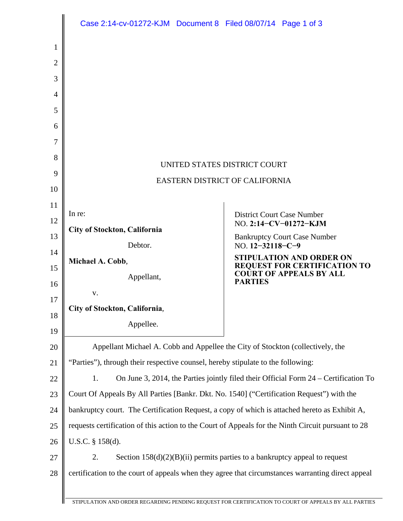|    | Case 2:14-cv-01272-KJM  Document 8  Filed 08/07/14  Page 1 of 3                                    |                                                                |  |
|----|----------------------------------------------------------------------------------------------------|----------------------------------------------------------------|--|
| 1  |                                                                                                    |                                                                |  |
| 2  |                                                                                                    |                                                                |  |
| 3  |                                                                                                    |                                                                |  |
| 4  |                                                                                                    |                                                                |  |
| 5  |                                                                                                    |                                                                |  |
| 6  |                                                                                                    |                                                                |  |
| 7  |                                                                                                    |                                                                |  |
| 8  |                                                                                                    |                                                                |  |
| 9  | UNITED STATES DISTRICT COURT                                                                       |                                                                |  |
| 10 | <b>EASTERN DISTRICT OF CALIFORNIA</b>                                                              |                                                                |  |
| 11 |                                                                                                    |                                                                |  |
| 12 | In re:                                                                                             | <b>District Court Case Number</b><br>NO. 2:14-CV-01272-KJM     |  |
| 13 | City of Stockton, California                                                                       | <b>Bankruptcy Court Case Number</b>                            |  |
| 14 | Debtor.                                                                                            | NO. $12 - 32118 - C - 9$<br><b>STIPULATION AND ORDER ON</b>    |  |
| 15 | Michael A. Cobb,<br>Appellant,                                                                     | REQUEST FOR CERTIFICATION TO<br><b>COURT OF APPEALS BY ALL</b> |  |
| 16 | V.                                                                                                 | <b>PARTIES</b>                                                 |  |
| 17 | City of Stockton, California,                                                                      |                                                                |  |
| 18 | Appellee.                                                                                          |                                                                |  |
| 19 |                                                                                                    |                                                                |  |
| 20 | Appellant Michael A. Cobb and Appellee the City of Stockton (collectively, the                     |                                                                |  |
| 21 | "Parties"), through their respective counsel, hereby stipulate to the following:                   |                                                                |  |
| 22 | On June 3, 2014, the Parties jointly filed their Official Form 24 – Certification To<br>1.         |                                                                |  |
| 23 | Court Of Appeals By All Parties [Bankr. Dkt. No. 1540] ("Certification Request") with the          |                                                                |  |
| 24 | bankruptcy court. The Certification Request, a copy of which is attached hereto as Exhibit A,      |                                                                |  |
| 25 | requests certification of this action to the Court of Appeals for the Ninth Circuit pursuant to 28 |                                                                |  |
| 26 | U.S.C. § 158(d).                                                                                   |                                                                |  |
| 27 | 2.<br>Section $158(d)(2)(B)(ii)$ permits parties to a bankruptcy appeal to request                 |                                                                |  |
| 28 | certification to the court of appeals when they agree that circumstances warranting direct appeal  |                                                                |  |
|    |                                                                                                    |                                                                |  |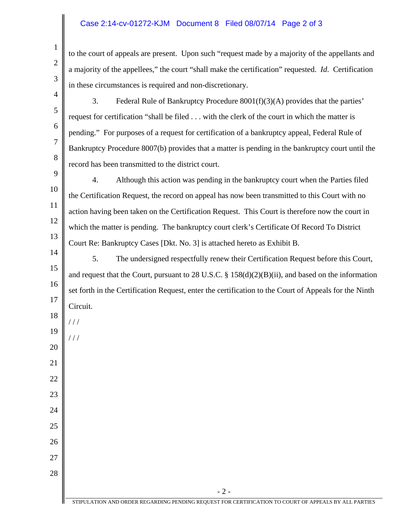## Case 2:14-cv-01272-KJM Document 8 Filed 08/07/14 Page 2 of 3

1

2

3

4

5

6

7

8

22

23

24

25

26

27

28

to the court of appeals are present. Upon such "request made by a majority of the appellants and a majority of the appellees," the court "shall make the certification" requested. *Id*. Certification in these circumstances is required and non-discretionary.

- 3. Federal Rule of Bankruptcy Procedure 8001(f)(3)(A) provides that the parties' request for certification "shall be filed . . . with the clerk of the court in which the matter is pending." For purposes of a request for certification of a bankruptcy appeal, Federal Rule of Bankruptcy Procedure 8007(b) provides that a matter is pending in the bankruptcy court until the record has been transmitted to the district court.
- 9 10 11 12 13 4. Although this action was pending in the bankruptcy court when the Parties filed the Certification Request, the record on appeal has now been transmitted to this Court with no action having been taken on the Certification Request. This Court is therefore now the court in which the matter is pending. The bankruptcy court clerk's Certificate Of Record To District Court Re: Bankruptcy Cases [Dkt. No. 3] is attached hereto as Exhibit B.
- 14 15 16 17 18 19 20 21 5. The undersigned respectfully renew their Certification Request before this Court, and request that the Court, pursuant to 28 U.S.C. § 158(d)(2)(B)(ii), and based on the information set forth in the Certification Request, enter the certification to the Court of Appeals for the Ninth Circuit. / / / / / /